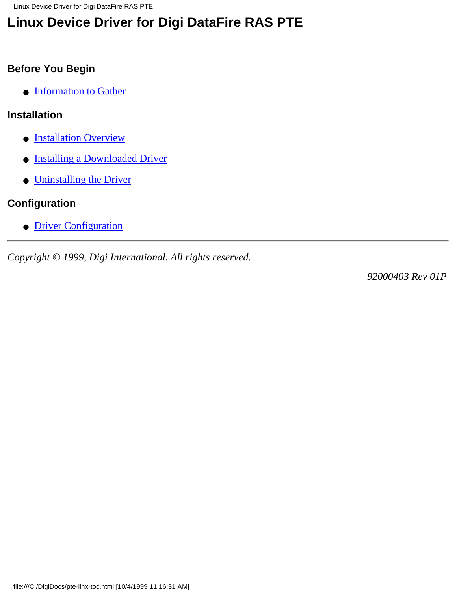Linux Device Driver for Digi DataFire RAS PTE

# **Linux Device Driver for Digi DataFire RAS PTE**

### **Before You Begin**

● [Information to Gather](#page-1-0)

#### **Installation**

- **[Installation Overview](#page-2-0)**
- [Installing a Downloaded Driver](#page-3-0)
- [Uninstalling the Driver](#page-4-0)

## **Configuration**

● [Driver Configuration](#page-5-0)

*Copyright © 1999, Digi International. All rights reserved.*

*92000403 Rev 01P*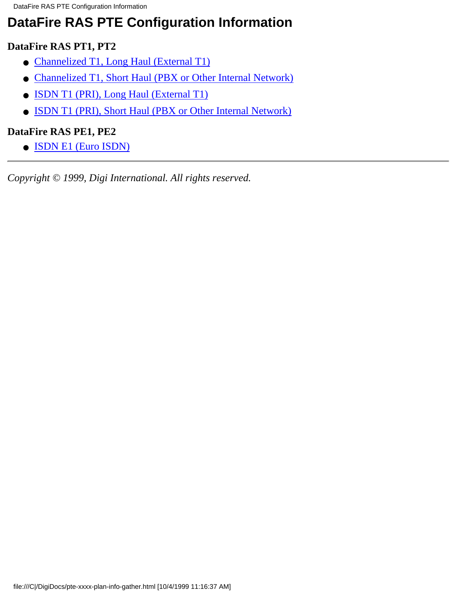# <span id="page-1-0"></span>**DataFire RAS PTE Configuration Information**

### **DataFire RAS PT1, PT2**

- [Channelized T1, Long Haul \(External T1\)](#page-6-0)
- [Channelized T1, Short Haul \(PBX or Other Internal Network\)](#page-7-0)
- [ISDN T1 \(PRI\), Long Haul \(External T1\)](#page-8-0)
- [ISDN T1 \(PRI\), Short Haul \(PBX or Other Internal Network\)](#page-9-0)

### **DataFire RAS PE1, PE2**

● [ISDN E1 \(Euro ISDN\)](#page-10-0)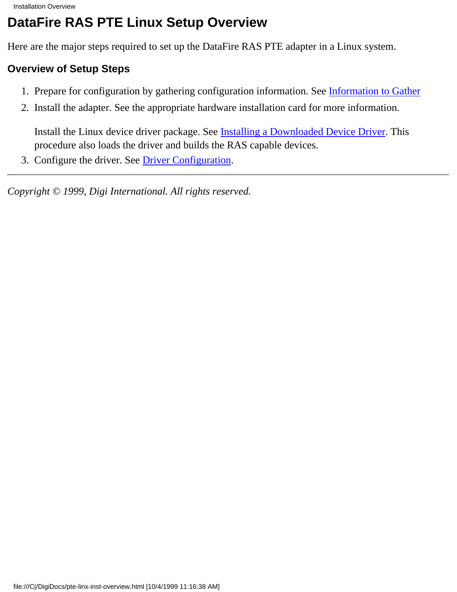# <span id="page-2-0"></span>**DataFire RAS PTE Linux Setup Overview**

Here are the major steps required to set up the DataFire RAS PTE adapter in a Linux system.

### **Overview of Setup Steps**

- 1. Prepare for configuration by gathering configuration information. See [Information to Gather](#page-1-0)
- 2. Install the adapter. See the appropriate hardware installation card for more information.

Install the Linux device driver package. See [Installing a Downloaded Device Driver](#page-3-0). This procedure also loads the driver and builds the RAS capable devices.

3. Configure the driver. See [Driver Configuration.](#page-5-0)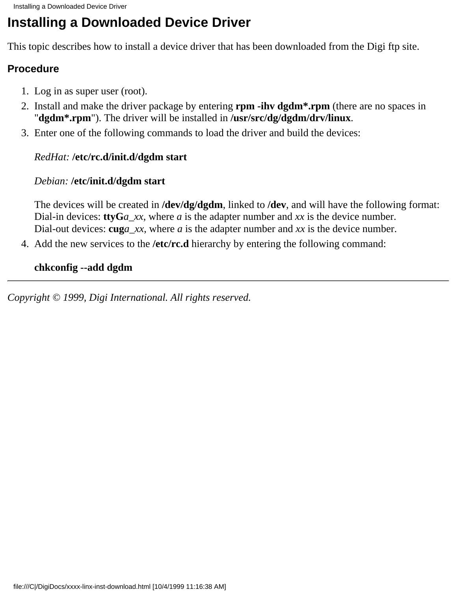# <span id="page-3-0"></span>**Installing a Downloaded Device Driver**

This topic describes how to install a device driver that has been downloaded from the Digi ftp site.

### **Procedure**

- 1. Log in as super user (root).
- 2. Install and make the driver package by entering **rpm -ihv dgdm<sup>\*</sup>.rpm** (there are no spaces in "**dgdm\*.rpm**"). The driver will be installed in **/usr/src/dg/dgdm/drv/linux**.
- Enter one of the following commands to load the driver and build the devices: 3.

### *RedHat:* **/etc/rc.d/init.d/dgdm start**

### *Debian:* **/etc/init.d/dgdm start**

The devices will be created in **/dev/dg/dgdm**, linked to **/dev**, and will have the following format: Dial-in devices: **ttyG***a\_xx*, where *a* is the adapter number and *xx* is the device number. Dial-out devices: **cug***a\_xx*, where *a* is the adapter number and *xx* is the device number.

4. Add the new services to the /etc/rc.d hierarchy by entering the following command:

### **chkconfig --add dgdm**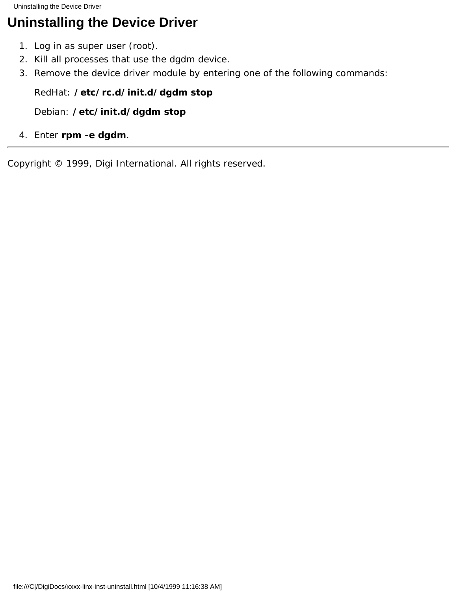<span id="page-4-0"></span>Uninstalling the Device Driver

# **Uninstalling the Device Driver**

- 1. Log in as super user (root).
- 2. Kill all processes that use the dgdm device.
- 3. Remove the device driver module by entering one of the following commands:

### *RedHat:* **/etc/rc.d/init.d/dgdm stop**

*Debian:* **/etc/init.d/dgdm stop**

4. Enter **rpm -e dgdm**.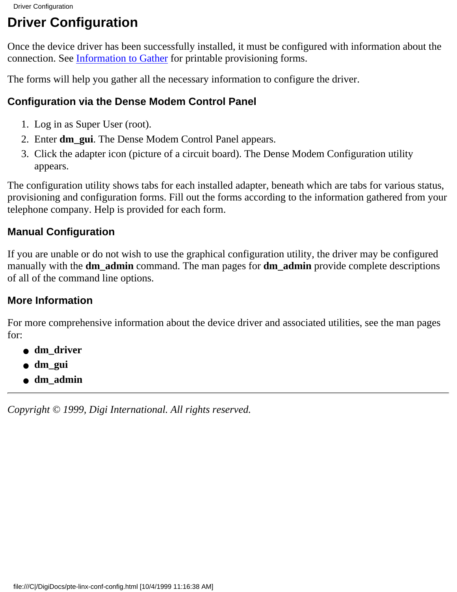## <span id="page-5-0"></span>**Driver Configuration**

Once the device driver has been successfully installed, it must be configured with information about the connection. See [Information to Gather](#page-1-0) for printable provisioning forms.

The forms will help you gather all the necessary information to configure the driver.

## **Configuration via the Dense Modem Control Panel**

- 1. Log in as Super User (root).
- 2. Enter **dm\_gui**. The Dense Modem Control Panel appears.
- 3. Click the adapter icon (picture of a circuit board). The Dense Modem Configuration utility appears.

The configuration utility shows tabs for each installed adapter, beneath which are tabs for various status, provisioning and configuration forms. Fill out the forms according to the information gathered from your telephone company. Help is provided for each form.

## **Manual Configuration**

If you are unable or do not wish to use the graphical configuration utility, the driver may be configured manually with the **dm\_admin** command. The man pages for **dm\_admin** provide complete descriptions of all of the command line options.

## **More Information**

For more comprehensive information about the device driver and associated utilities, see the man pages for:

- **dm\_driver**
- **dm\_gui**
- **dm\_admin**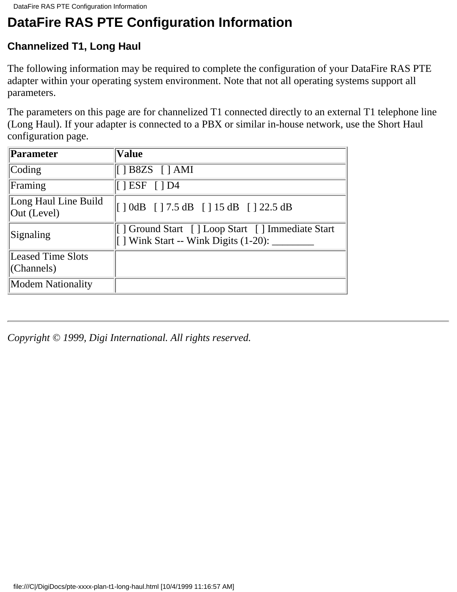## <span id="page-6-0"></span>**Channelized T1, Long Haul**

The following information may be required to complete the configuration of your DataFire RAS PTE adapter within your operating system environment. Note that not all operating systems support all parameters.

The parameters on this page are for channelized T1 connected directly to an external T1 telephone line (Long Haul). If your adapter is connected to a PBX or similar in-house network, use the Short Haul configuration page.

| Parameter                           | <b>Value</b>                                                                                   |
|-------------------------------------|------------------------------------------------------------------------------------------------|
| Coding                              | $[$   B8ZS $[$   AMI                                                                           |
| Framing                             | $\vert \vert$ ESF $\vert \vert$ D4                                                             |
| Long Haul Line Build<br>Out (Level) | $\begin{bmatrix} 1 & 0 \, dB & 1 \, 7.5 & dB & 15 & dB & 122.5 & dB \end{bmatrix}$             |
| Signaling                           | [] Ground Start [] Loop Start [] Immediate Start<br>[ ] Wink Start -- Wink Digits (1-20): ____ |
| <b>Leased Time Slots</b>            |                                                                                                |
| (Channels)                          |                                                                                                |
| <b>Modem Nationality</b>            |                                                                                                |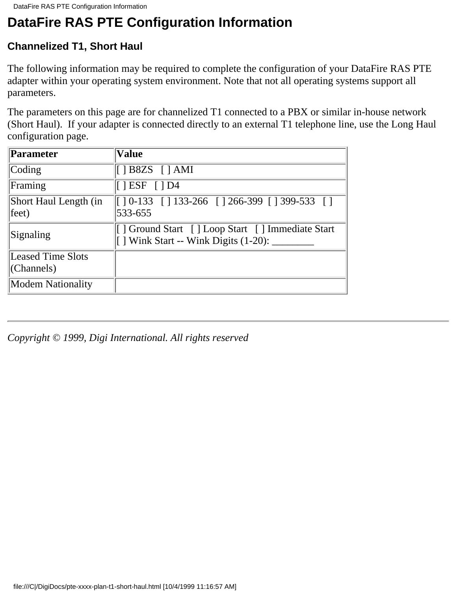## <span id="page-7-0"></span>**Channelized T1, Short Haul**

The following information may be required to complete the configuration of your DataFire RAS PTE adapter within your operating system environment. Note that not all operating systems support all parameters.

The parameters on this page are for channelized T1 connected to a PBX or similar in-house network (Short Haul). If your adapter is connected directly to an external T1 telephone line, use the Long Haul configuration page.

| <b>Parameter</b>               | <b>Value</b>                                                                                                                                                                                                                                                                                                                    |
|--------------------------------|---------------------------------------------------------------------------------------------------------------------------------------------------------------------------------------------------------------------------------------------------------------------------------------------------------------------------------|
| Coding                         | $[$   B8ZS $[$   AMI                                                                                                                                                                                                                                                                                                            |
| Framing                        | $[$ $ $ ESF $[$ $]$ D4                                                                                                                                                                                                                                                                                                          |
| Short Haul Length (in<br>feet) | $\begin{bmatrix} 1 & 0 & -133 \\ 1 & 133 & -266 \\ 1 & 266 & -399 \\ 1 & 399 & -533 \\ 1 & 1 & 139 \\ 1 & 1 & 1 & 119 \\ 1 & 1 & 1 & 119 \\ 1 & 1 & 1 & 119 \\ 1 & 1 & 1 & 119 \\ 1 & 1 & 1 & 119 \\ 1 & 1 & 1 & 119 \\ 1 & 1 & 1 & 119 \\ 1 & 1 & 1 & 119 \\ 1 & 1 & 1 & 119 \\ 1 & 1 & 1 & 119 \\ 1 & 1 & 1 & 119$<br>533-655 |
| Signaling                      | [] Ground Start [] Loop Start [] Immediate Start<br>$\lceil$   Wink Start -- Wink Digits (1-20): $\ldots$                                                                                                                                                                                                                       |
| <b>Leased Time Slots</b>       |                                                                                                                                                                                                                                                                                                                                 |
| (Channels)                     |                                                                                                                                                                                                                                                                                                                                 |
| <b>Modem Nationality</b>       |                                                                                                                                                                                                                                                                                                                                 |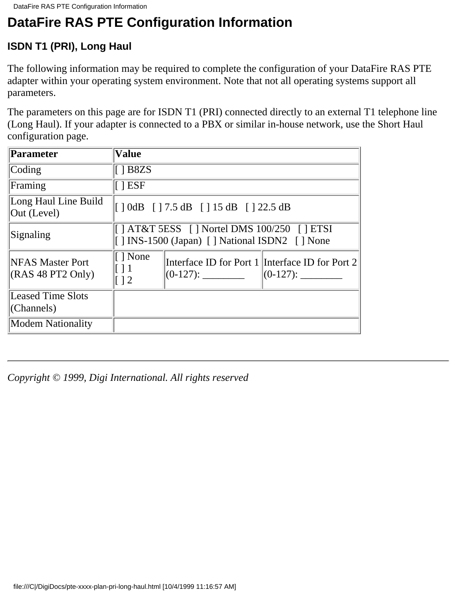## <span id="page-8-0"></span>**ISDN T1 (PRI), Long Haul**

The following information may be required to complete the configuration of your DataFire RAS PTE adapter within your operating system environment. Note that not all operating systems support all parameters.

The parameters on this page are for ISDN T1 (PRI) connected directly to an external T1 telephone line (Long Haul). If your adapter is connected to a PBX or similar in-house network, use the Short Haul configuration page.

| Parameter                                    | <b>Value</b>                                             |                                                                                                                              |                                                 |
|----------------------------------------------|----------------------------------------------------------|------------------------------------------------------------------------------------------------------------------------------|-------------------------------------------------|
| Coding                                       | $\parallel$ 1 B8ZS                                       |                                                                                                                              |                                                 |
| Framing                                      | $\vert \vert$ esf                                        |                                                                                                                              |                                                 |
| Long Haul Line Build<br>Out (Level)          |                                                          | $\begin{bmatrix} 1 & 0 \, dB & 1 & 7.5 \, dB & 1 & 15 \, dB & 1 & 22.5 \, dB \end{bmatrix}$                                  |                                                 |
| Signaling                                    |                                                          | $\parallel$   AT&T 5ESS $\parallel$   Nortel DMS 100/250 $\parallel$   ETSI<br>[] INS-1500 (Japan) [] National ISDN2 [] None |                                                 |
| <b>NFAS Master Port</b><br>(RAS 48 PT2 Only) | $\lceil \cdot \rceil$ None<br>$\lceil$ 1<br>$\lceil$   2 |                                                                                                                              | Interface ID for Port 1 Interface ID for Port 2 |
| <b>Leased Time Slots</b><br>(Channels)       |                                                          |                                                                                                                              |                                                 |
| <b>Modem Nationality</b>                     |                                                          |                                                                                                                              |                                                 |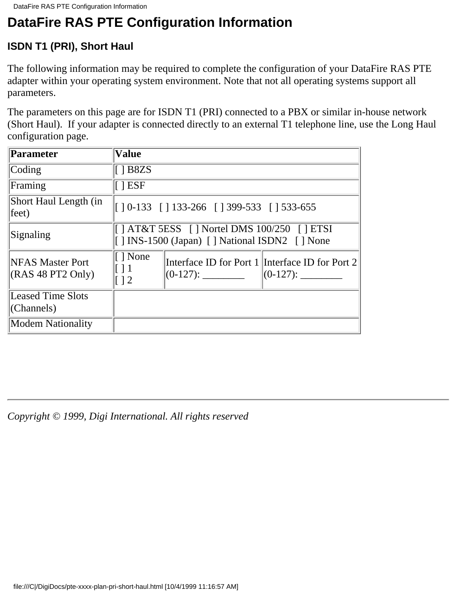## <span id="page-9-0"></span>**ISDN T1 (PRI), Short Haul**

The following information may be required to complete the configuration of your DataFire RAS PTE adapter within your operating system environment. Note that not all operating systems support all parameters.

The parameters on this page are for ISDN T1 (PRI) connected to a PBX or similar in-house network (Short Haul). If your adapter is connected directly to an external T1 telephone line, use the Long Haul configuration page.

| Parameter                                    | <b>Value</b>                                                                                             |
|----------------------------------------------|----------------------------------------------------------------------------------------------------------|
| $\text{Coding}$                              | $\vert$ [ ] B8ZS                                                                                         |
| Framing                                      | $\lceil$   ESF                                                                                           |
| Short Haul Length (in<br>feet)               | $\parallel$ 10-133 [ 133-266 [ 1399-533 [ 1533-655]                                                      |
| Signaling                                    | $\parallel$   AT&T 5ESS     Nortel DMS 100/250     ETSI<br>[] INS-1500 (Japan) [] National ISDN2 [] None |
| <b>NFAS Master Port</b><br>(RAS 48 PT2 Only) | $\vert \vert$   None<br>Interface ID for Port 1 Interface ID for Port 2<br>$\frac{12}{2}$                |
| Leased Time Slots<br>$ $ (Channels)          |                                                                                                          |
| <b>Modem Nationality</b>                     |                                                                                                          |